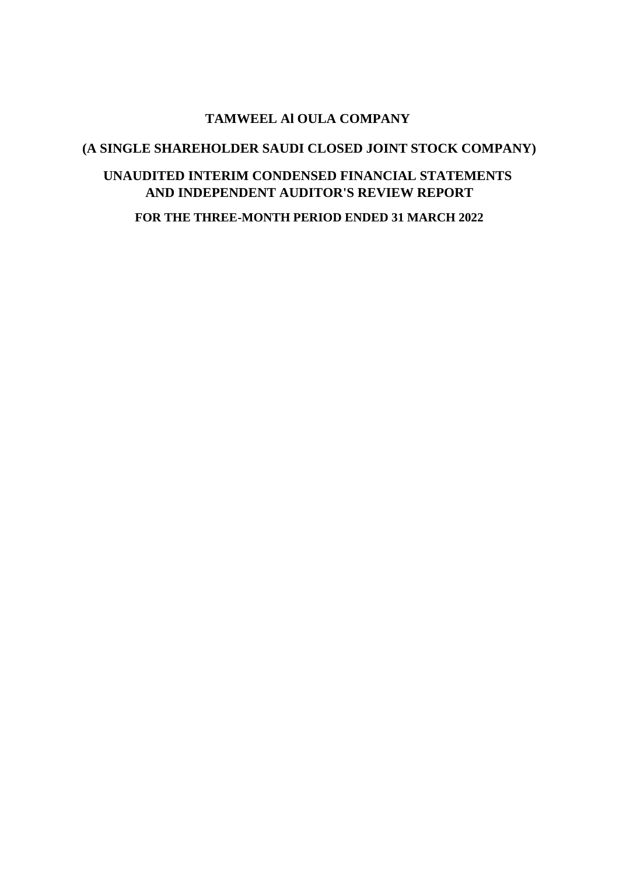### **TAMWEEL Al OULA COMPANY**

### **(A SINGLE SHAREHOLDER SAUDI CLOSED JOINT STOCK COMPANY)**

### **UNAUDITED INTERIM CONDENSED FINANCIAL STATEMENTS AND INDEPENDENT AUDITOR'S REVIEW REPORT**

**FOR THE THREE-MONTH PERIOD ENDED 31 MARCH 2022**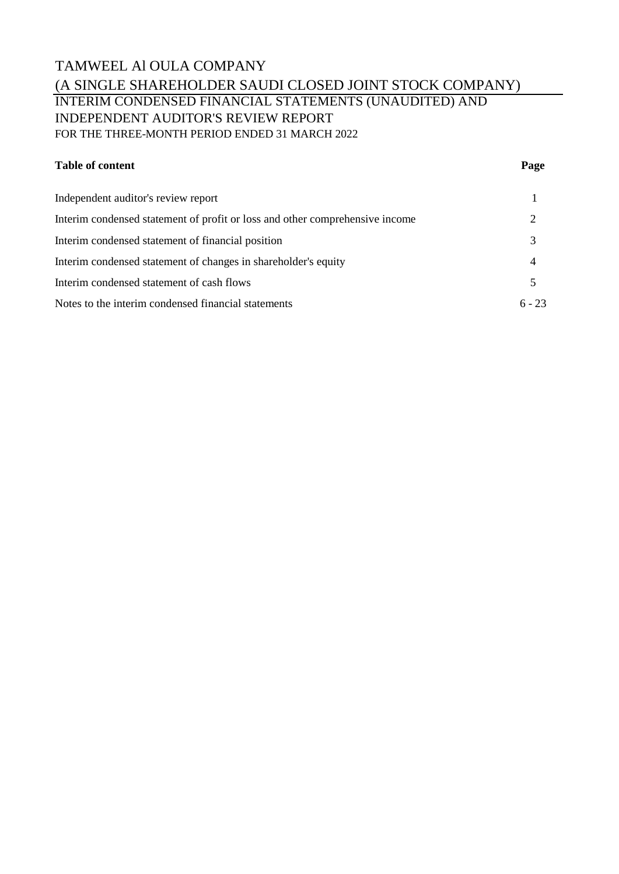## TAMWEEL Al OULA COMPANY (A SINGLE SHAREHOLDER SAUDI CLOSED JOINT STOCK COMPANY) INTERIM CONDENSED FINANCIAL STATEMENTS (UNAUDITED) AND INDEPENDENT AUDITOR'S REVIEW REPORT FOR THE THREE-MONTH PERIOD ENDED 31 MARCH 2022

#### **Table of content Page**

| Independent auditor's review report                                          |          |
|------------------------------------------------------------------------------|----------|
| Interim condensed statement of profit or loss and other comprehensive income |          |
| Interim condensed statement of financial position                            | 3        |
| Interim condensed statement of changes in shareholder's equity               | 4        |
| Interim condensed statement of cash flows                                    |          |
| Notes to the interim condensed financial statements                          | $6 - 23$ |
|                                                                              |          |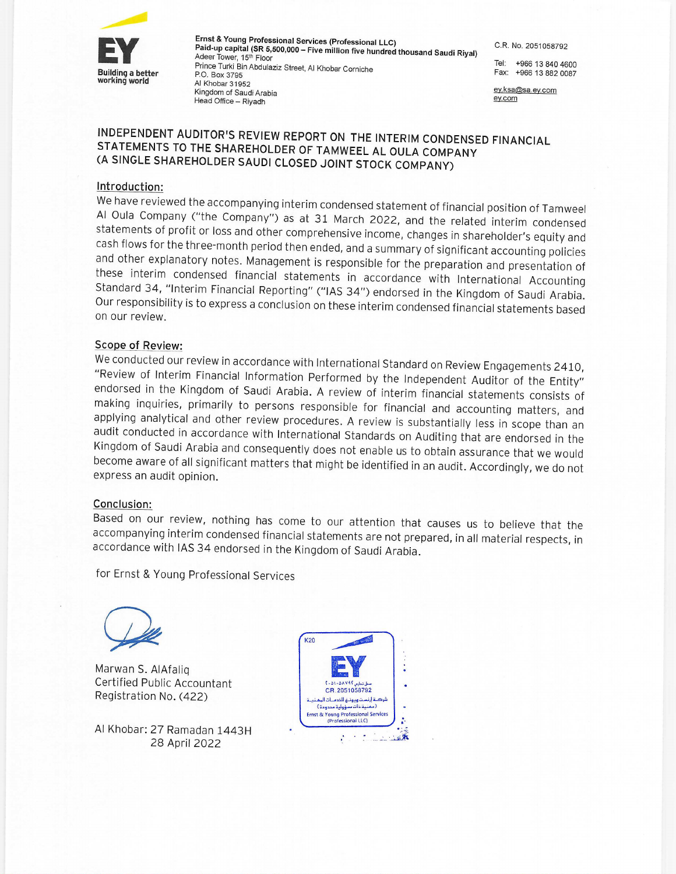

Ernst & Young Professional Services (Professional LLC) Paid-up capital (SR 5,500,000 - Five million five hundred thousand Saudi Riyal) Adeer Tower, 15th Floor Prince Turki Bin Abdulaziz Street, Al Khobar Corniche P.O. Box 3795 Al Khobar 31952 Kingdom of Saudi Arabia Head Office - Riyadh

C.R. No. 2051058792

Tel: +966 13 840 4600 Fax: +966 13 882 0087

ey.ksa@sa.ey.com ey.com

### INDEPENDENT AUDITOR'S REVIEW REPORT ON THE INTERIM CONDENSED FINANCIAL STATEMENTS TO THE SHAREHOLDER OF TAMWEEL AL OULA COMPANY (A SINGLE SHAREHOLDER SAUDI CLOSED JOINT STOCK COMPANY)

#### Introduction:

We have reviewed the accompanying interim condensed statement of financial position of Tamweel Al Oula Company ("the Company") as at 31 March 2022, and the related interim condensed statements of profit or loss and other comprehensive income, changes in shareholder's equity and cash flows for the three-month period then ended, and a summary of significant accounting policies and other explanatory notes. Management is responsible for the preparation and presentation of these interim condensed financial statements in accordance with International Accounting Standard 34, "Interim Financial Reporting" ("IAS 34") endorsed in the Kingdom of Saudi Arabia. Our responsibility is to express a conclusion on these interim condensed financial statements based on our review.

#### **Scope of Review:**

We conducted our review in accordance with International Standard on Review Engagements 2410, "Review of Interim Financial Information Performed by the Independent Auditor of the Entity" endorsed in the Kingdom of Saudi Arabia. A review of interim financial statements consists of making inquiries, primarily to persons responsible for financial and accounting matters, and applying analytical and other review procedures. A review is substantially less in scope than an audit conducted in accordance with International Standards on Auditing that are endorsed in the Kingdom of Saudi Arabia and consequently does not enable us to obtain assurance that we would become aware of all significant matters that might be identified in an audit. Accordingly, we do not express an audit opinion.

#### Conclusion:

Based on our review, nothing has come to our attention that causes us to believe that the accompanying interim condensed financial statements are not prepared, in all material respects, in accordance with IAS 34 endorsed in the Kingdom of Saudi Arabia.

for Ernst & Young Professional Services



Marwan S. AlAfalig Certified Public Accountant Registration No. (422)

Al Khobar: 27 Ramadan 1443H 28 April 2022

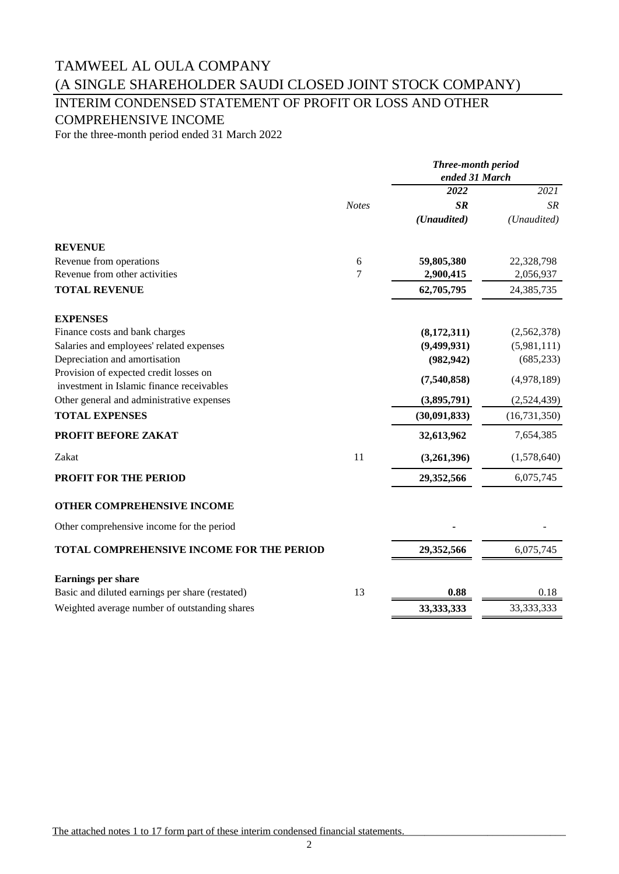# INTERIM CONDENSED STATEMENT OF PROFIT OR LOSS AND OTHER

COMPREHENSIVE INCOME

For the three-month period ended 31 March 2022

|                                                                                     |              | Three-month period<br>ended 31 March |                |
|-------------------------------------------------------------------------------------|--------------|--------------------------------------|----------------|
|                                                                                     |              | 2022                                 | 2021           |
|                                                                                     | <b>Notes</b> | SR                                   | SR             |
|                                                                                     |              | (Unaudited)                          | (Unaudited)    |
| <b>REVENUE</b>                                                                      |              |                                      |                |
| Revenue from operations                                                             | 6            | 59,805,380                           | 22,328,798     |
| Revenue from other activities                                                       | 7            | 2,900,415                            | 2,056,937      |
| <b>TOTAL REVENUE</b>                                                                |              | 62,705,795                           | 24,385,735     |
| <b>EXPENSES</b>                                                                     |              |                                      |                |
| Finance costs and bank charges                                                      |              | (8, 172, 311)                        | (2,562,378)    |
| Salaries and employees' related expenses                                            |              | (9,499,931)                          | (5,981,111)    |
| Depreciation and amortisation                                                       |              | (982, 942)                           | (685, 233)     |
| Provision of expected credit losses on<br>investment in Islamic finance receivables |              | (7,540,858)                          | (4,978,189)    |
| Other general and administrative expenses                                           |              | (3,895,791)                          | (2,524,439)    |
| <b>TOTAL EXPENSES</b>                                                               |              | (30,091,833)                         | (16, 731, 350) |
| PROFIT BEFORE ZAKAT                                                                 |              | 32,613,962                           | 7,654,385      |
| Zakat                                                                               | 11           | (3,261,396)                          | (1,578,640)    |
| <b>PROFIT FOR THE PERIOD</b>                                                        |              | 29,352,566                           | 6,075,745      |
| OTHER COMPREHENSIVE INCOME                                                          |              |                                      |                |
| Other comprehensive income for the period                                           |              |                                      |                |
| <b>TOTAL COMPREHENSIVE INCOME FOR THE PERIOD</b>                                    |              | 29,352,566                           | 6,075,745      |
| Earnings per share                                                                  |              |                                      |                |
| Basic and diluted earnings per share (restated)                                     | 13           | 0.88                                 | 0.18           |
| Weighted average number of outstanding shares                                       |              | 33,333,333                           | 33, 333, 333   |

The attached notes 1 to 17 form part of these interim condensed financial statements.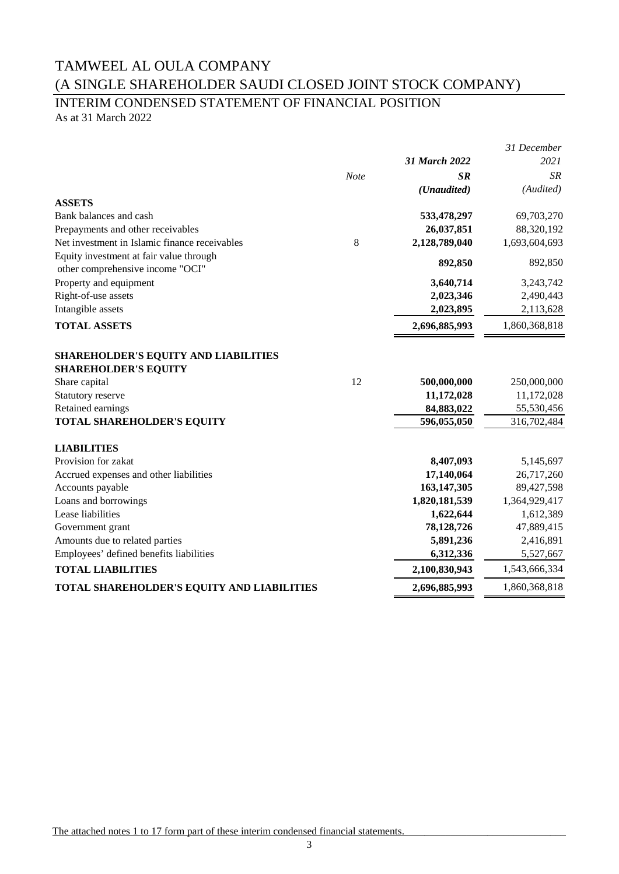# INTERIM CONDENSED STATEMENT OF FINANCIAL POSITION

As at 31 March 2022

|                                               |      |               | 31 December   |
|-----------------------------------------------|------|---------------|---------------|
|                                               |      | 31 March 2022 | 2021          |
|                                               | Note | <b>SR</b>     | <b>SR</b>     |
|                                               |      | (Unaudited)   | (Audited)     |
| <b>ASSETS</b>                                 |      |               |               |
| Bank balances and cash                        |      | 533,478,297   | 69,703,270    |
| Prepayments and other receivables             |      | 26,037,851    | 88,320,192    |
| Net investment in Islamic finance receivables | 8    | 2,128,789,040 | 1,693,604,693 |
| Equity investment at fair value through       |      |               | 892,850       |
| other comprehensive income "OCI"              |      | 892,850       |               |
| Property and equipment                        |      | 3,640,714     | 3,243,742     |
| Right-of-use assets                           |      | 2,023,346     | 2,490,443     |
| Intangible assets                             |      | 2,023,895     | 2,113,628     |
| <b>TOTAL ASSETS</b>                           |      | 2,696,885,993 | 1,860,368,818 |
|                                               |      |               |               |
| SHAREHOLDER'S EQUITY AND LIABILITIES          |      |               |               |
| <b>SHAREHOLDER'S EQUITY</b>                   |      |               |               |
| Share capital                                 | 12   | 500,000,000   | 250,000,000   |
| Statutory reserve                             |      | 11,172,028    | 11,172,028    |
| Retained earnings                             |      | 84,883,022    | 55,530,456    |
| TOTAL SHAREHOLDER'S EQUITY                    |      | 596,055,050   | 316,702,484   |
| <b>LIABILITIES</b>                            |      |               |               |
| Provision for zakat                           |      | 8,407,093     | 5,145,697     |
| Accrued expenses and other liabilities        |      | 17,140,064    | 26,717,260    |
| Accounts payable                              |      | 163,147,305   | 89,427,598    |
| Loans and borrowings                          |      | 1,820,181,539 | 1,364,929,417 |
| Lease liabilities                             |      | 1,622,644     | 1,612,389     |
| Government grant                              |      | 78,128,726    | 47,889,415    |
| Amounts due to related parties                |      | 5,891,236     | 2,416,891     |
| Employees' defined benefits liabilities       |      | 6,312,336     | 5,527,667     |
| <b>TOTAL LIABILITIES</b>                      |      | 2,100,830,943 | 1,543,666,334 |
| TOTAL SHAREHOLDER'S EQUITY AND LIABILITIES    |      | 2,696,885,993 | 1,860,368,818 |
|                                               |      |               |               |

The attached notes 1 to 17 form part of these interim condensed financial statements.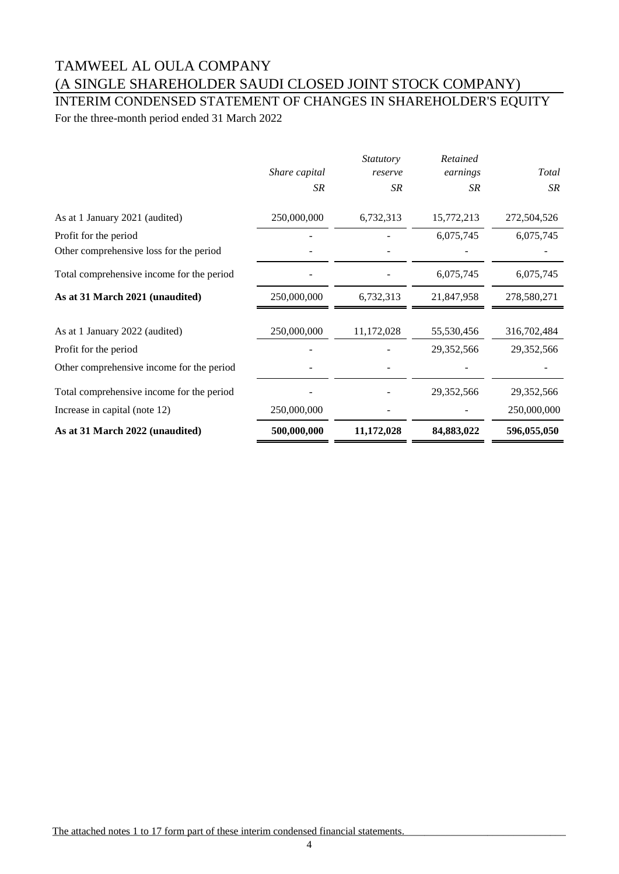### INTERIM CONDENSED STATEMENT OF CHANGES IN SHAREHOLDER'S EQUITY For the three-month period ended 31 March 2022

*Share capital Statutory reserve Retained earnings Total SR SR SR SR* As at 1 January 2021 (audited) 250,000,000 6,732,313 15,772,213 272,504,526 Profit for the period **Figure 2.1 CONSECUTE:**  $\frac{6.075.745}{6.075.745} = 6.075.745$ Other comprehensive loss for the period  $\overline{\phantom{a}}$  -Total comprehensive income for the period  $6,075,745$  6,075,745 6,075,745 **As at 31 March 2021 (unaudited)** 250,000,000 6,732,313 21,847,958 278,580,271 As at 1 January 2022 (audited) 250,000,000 11,172,028 55,530,456 316,702,484 Profit for the period **29,352,566** 29,352,566 29,352,566 Other comprehensive income for the period - - - - Total comprehensive income for the period  $29,352,566$   $29,352,566$   $29,352,566$ Increase in capital (note 12) 250,000,000 - 250,000,000 - 250,000,000 **As at 31 March 2022 (unaudited) 500,000,000 11,172,028 84,883,022 596,055,050**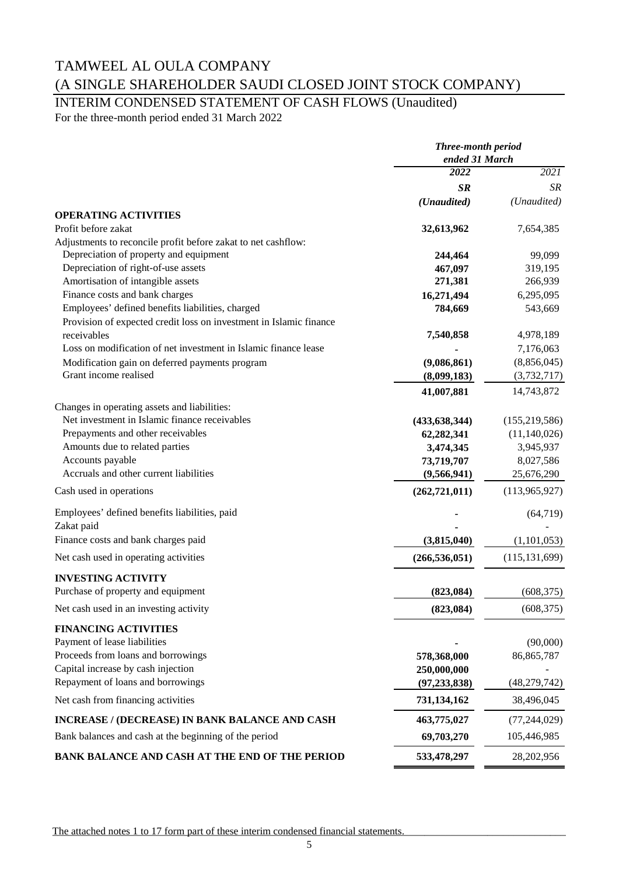# INTERIM CONDENSED STATEMENT OF CASH FLOWS (Unaudited)

For the three-month period ended 31 March 2022

|                                                                    | <b>Three-month period</b><br>ended 31 March |                 |
|--------------------------------------------------------------------|---------------------------------------------|-----------------|
|                                                                    |                                             |                 |
|                                                                    | 2022                                        | 2021            |
|                                                                    | <b>SR</b>                                   | <b>SR</b>       |
|                                                                    | (Unaudited)                                 | (Unaudited)     |
| <b>OPERATING ACTIVITIES</b>                                        |                                             |                 |
| Profit before zakat                                                | 32,613,962                                  | 7,654,385       |
| Adjustments to reconcile profit before zakat to net cashflow:      |                                             |                 |
| Depreciation of property and equipment                             | 244,464                                     | 99,099          |
| Depreciation of right-of-use assets                                | 467,097                                     | 319,195         |
| Amortisation of intangible assets                                  | 271,381                                     | 266,939         |
| Finance costs and bank charges                                     | 16,271,494                                  | 6,295,095       |
| Employees' defined benefits liabilities, charged                   | 784,669                                     | 543,669         |
| Provision of expected credit loss on investment in Islamic finance |                                             |                 |
| receivables                                                        | 7,540,858                                   | 4,978,189       |
| Loss on modification of net investment in Islamic finance lease    |                                             | 7,176,063       |
| Modification gain on deferred payments program                     | (9,086,861)                                 | (8,856,045)     |
| Grant income realised                                              | (8,099,183)                                 | (3, 732, 717)   |
|                                                                    | 41,007,881                                  | 14,743,872      |
| Changes in operating assets and liabilities:                       |                                             |                 |
| Net investment in Islamic finance receivables                      | (433, 638, 344)                             | (155, 219, 586) |
| Prepayments and other receivables                                  | 62,282,341                                  | (11, 140, 026)  |
| Amounts due to related parties                                     | 3,474,345                                   | 3,945,937       |
| Accounts payable                                                   | 73,719,707                                  | 8,027,586       |
| Accruals and other current liabilities                             | (9,566,941)                                 | 25,676,290      |
| Cash used in operations                                            | (262, 721, 011)                             | (113,965,927)   |
| Employees' defined benefits liabilities, paid                      |                                             | (64, 719)       |
| Zakat paid                                                         |                                             |                 |
| Finance costs and bank charges paid                                | (3,815,040)                                 | (1,101,053)     |
| Net cash used in operating activities                              | (266, 536, 051)                             | (115, 131, 699) |
|                                                                    |                                             |                 |
| <b>INVESTING ACTIVITY</b><br>Purchase of property and equipment    |                                             |                 |
|                                                                    | (823, 084)                                  | (608, 375)      |
| Net cash used in an investing activity                             | (823, 084)                                  | (608, 375)      |
| <b>FINANCING ACTIVITIES</b>                                        |                                             |                 |
| Payment of lease liabilities                                       |                                             | (90,000)        |
| Proceeds from loans and borrowings                                 | 578,368,000                                 | 86, 865, 787    |
| Capital increase by cash injection                                 | 250,000,000                                 |                 |
| Repayment of loans and borrowings                                  | (97, 233, 838)                              | (48, 279, 742)  |
| Net cash from financing activities                                 | 731,134,162                                 | 38,496,045      |
| <b>INCREASE / (DECREASE) IN BANK BALANCE AND CASH</b>              | 463,775,027                                 | (77, 244, 029)  |
| Bank balances and cash at the beginning of the period              | 69,703,270                                  | 105,446,985     |
| BANK BALANCE AND CASH AT THE END OF THE PERIOD                     | 533,478,297                                 | 28,202,956      |
|                                                                    |                                             |                 |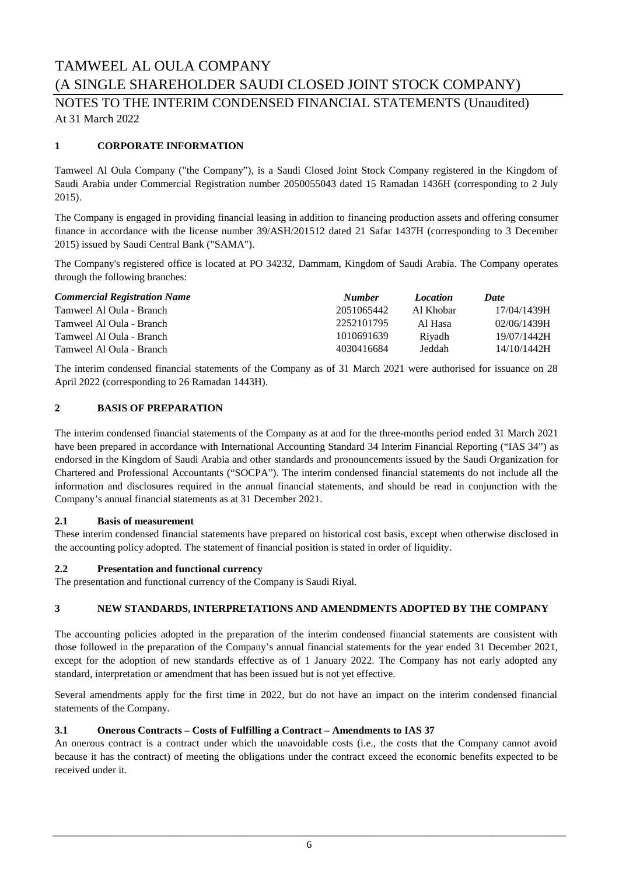NOTES TO THE INTERIM CONDENSED FINANCIAL STATEMENTS (Unaudited) At 31 March 2022

#### **1 CORPORATE INFORMATION**

Tamweel Al Oula Company ("the Company"), is a Saudi Closed Joint Stock Company registered in the Kingdom of Saudi Arabia under Commercial Registration number 2050055043 dated 15 Ramadan 1436H (corresponding to 2 July 2015).

The Company is engaged in providing financial leasing in addition to financing production assets and offering consumer finance in accordance with the license number 39/ASH/201512 dated 21 Safar 1437H (corresponding to 3 December 2015) issued by Saudi Central Bank ("SAMA").

The Company's registered office is located at PO 34232, Dammam, Kingdom of Saudi Arabia. The Company operates through the following branches:

| <b>Commercial Registration Name</b> | <b>Number</b> | <i>Location</i> | Date        |
|-------------------------------------|---------------|-----------------|-------------|
| Tamweel Al Oula - Branch            | 2051065442    | Al Khobar       | 17/04/1439H |
| Tamweel Al Oula - Branch            | 2252101795    | Al Hasa         | 02/06/1439H |
| Tamweel Al Oula - Branch            | 1010691639    | Riyadh          | 19/07/1442H |
| Tamweel Al Oula - Branch            | 4030416684    | Jeddah          | 14/10/1442H |

The interim condensed financial statements of the Company as of 31 March 2021 were authorised for issuance on 28 April 2022 (corresponding to 26 Ramadan 1443H).

#### **2 BASIS OF PREPARATION**

The interim condensed financial statements of the Company as at and for the three-months period ended 31 March 2021 have been prepared in accordance with International Accounting Standard 34 Interim Financial Reporting ("IAS 34") as endorsed in the Kingdom of Saudi Arabia and other standards and pronouncements issued by the Saudi Organization for Chartered and Professional Accountants ("SOCPA"). The interim condensed financial statements do not include all the information and disclosures required in the annual financial statements, and should be read in conjunction with the Company's annual financial statements as at 31 December 2021.

#### **2.1 Basis of measurement**

These interim condensed financial statements have prepared on historical cost basis, except when otherwise disclosed in the accounting policy adopted. The statement of financial position is stated in order of liquidity.

#### **2.2 Presentation and functional currency**

The presentation and functional currency of the Company is Saudi Riyal.

#### **3 NEW STANDARDS, INTERPRETATIONS AND AMENDMENTS ADOPTED BY THE COMPANY**

The accounting policies adopted in the preparation of the interim condensed financial statements are consistent with those followed in the preparation of the Company's annual financial statements for the year ended 31 December 2021, except for the adoption of new standards effective as of 1 January 2022. The Company has not early adopted any standard, interpretation or amendment that has been issued but is not yet effective.

Several amendments apply for the first time in 2022, but do not have an impact on the interim condensed financial statements of the Company.

#### **3.1 Onerous Contracts – Costs of Fulfilling a Contract – Amendments to IAS 37**

An onerous contract is a contract under which the unavoidable costs (i.e., the costs that the Company cannot avoid because it has the contract) of meeting the obligations under the contract exceed the economic benefits expected to be received under it.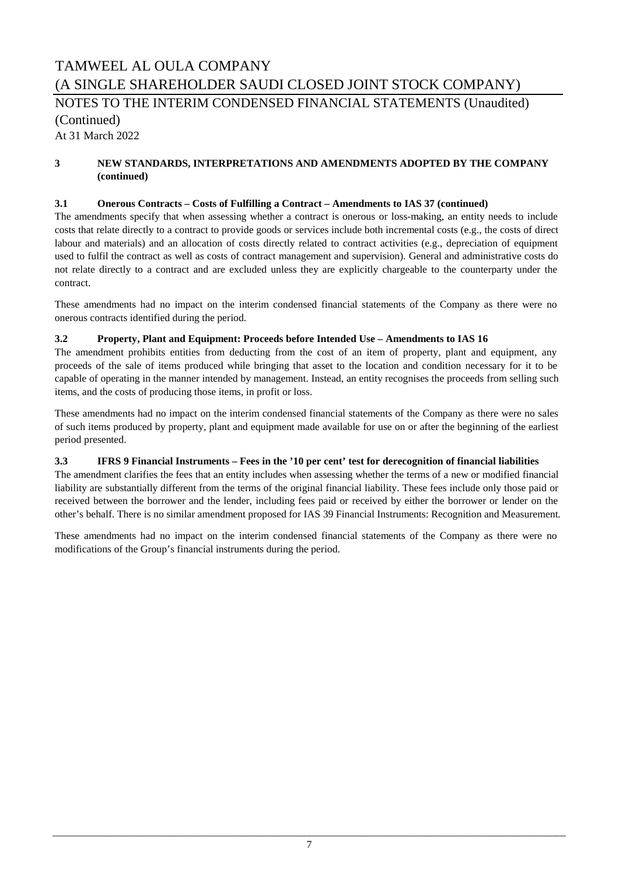# TAMWEEL AL OULA COMPANY (A SINGLE SHAREHOLDER SAUDI CLOSED JOINT STOCK COMPANY) At 31 March 2022 NOTES TO THE INTERIM CONDENSED FINANCIAL STATEMENTS (Unaudited) (Continued)

#### **3 NEW STANDARDS, INTERPRETATIONS AND AMENDMENTS ADOPTED BY THE COMPANY (continued)**

#### **3.1 Onerous Contracts – Costs of Fulfilling a Contract – Amendments to IAS 37 (continued)**

The amendments specify that when assessing whether a contract is onerous or loss-making, an entity needs to include costs that relate directly to a contract to provide goods or services include both incremental costs (e.g., the costs of direct labour and materials) and an allocation of costs directly related to contract activities (e.g., depreciation of equipment used to fulfil the contract as well as costs of contract management and supervision). General and administrative costs do not relate directly to a contract and are excluded unless they are explicitly chargeable to the counterparty under the contract.

These amendments had no impact on the interim condensed financial statements of the Company as there were no onerous contracts identified during the period.

#### **3.2 Property, Plant and Equipment: Proceeds before Intended Use – Amendments to IAS 16**

The amendment prohibits entities from deducting from the cost of an item of property, plant and equipment, any proceeds of the sale of items produced while bringing that asset to the location and condition necessary for it to be capable of operating in the manner intended by management. Instead, an entity recognises the proceeds from selling such items, and the costs of producing those items, in profit or loss.

These amendments had no impact on the interim condensed financial statements of the Company as there were no sales of such items produced by property, plant and equipment made available for use on or after the beginning of the earliest period presented.

#### **3.3 IFRS 9 Financial Instruments – Fees in the '10 per cent' test for derecognition of financial liabilities**

The amendment clarifies the fees that an entity includes when assessing whether the terms of a new or modified financial liability are substantially different from the terms of the original financial liability. These fees include only those paid or received between the borrower and the lender, including fees paid or received by either the borrower or lender on the other's behalf. There is no similar amendment proposed for IAS 39 Financial Instruments: Recognition and Measurement.

These amendments had no impact on the interim condensed financial statements of the Company as there were no modifications of the Group's financial instruments during the period.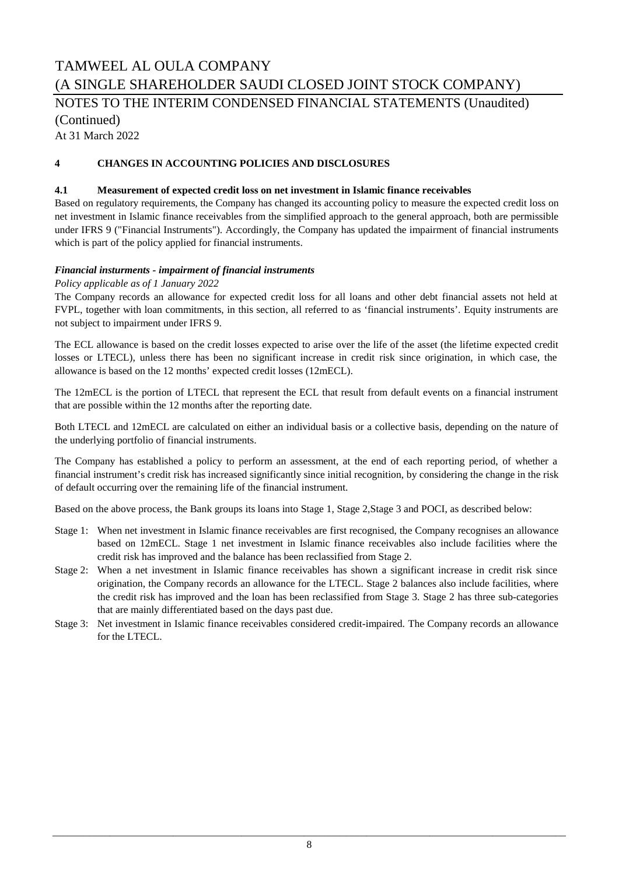# TAMWEEL AL OULA COMPANY (A SINGLE SHAREHOLDER SAUDI CLOSED JOINT STOCK COMPANY) NOTES TO THE INTERIM CONDENSED FINANCIAL STATEMENTS (Unaudited) (Continued)

At 31 March 2022

#### **4 CHANGES IN ACCOUNTING POLICIES AND DISCLOSURES**

#### **4.1 Measurement of expected credit loss on net investment in Islamic finance receivables**

Based on regulatory requirements, the Company has changed its accounting policy to measure the expected credit loss on net investment in Islamic finance receivables from the simplified approach to the general approach, both are permissible under IFRS 9 ("Financial Instruments"). Accordingly, the Company has updated the impairment of financial instruments which is part of the policy applied for financial instruments.

#### *Financial insturments - impairment of financial instruments*

#### *Policy applicable as of 1 January 2022*

The Company records an allowance for expected credit loss for all loans and other debt financial assets not held at FVPL, together with loan commitments, in this section, all referred to as 'financial instruments'. Equity instruments are not subject to impairment under IFRS 9.

The ECL allowance is based on the credit losses expected to arise over the life of the asset (the lifetime expected credit losses or LTECL), unless there has been no significant increase in credit risk since origination, in which case, the allowance is based on the 12 months' expected credit losses (12mECL).

The 12mECL is the portion of LTECL that represent the ECL that result from default events on a financial instrument that are possible within the 12 months after the reporting date.

Both LTECL and 12mECL are calculated on either an individual basis or a collective basis, depending on the nature of the underlying portfolio of financial instruments.

The Company has established a policy to perform an assessment, at the end of each reporting period, of whether a financial instrument's credit risk has increased significantly since initial recognition, by considering the change in the risk of default occurring over the remaining life of the financial instrument.

Based on the above process, the Bank groups its loans into Stage 1, Stage 2,Stage 3 and POCI, as described below:

- Stage 1: When net investment in Islamic finance receivables are first recognised, the Company recognises an allowance based on 12mECL. Stage 1 net investment in Islamic finance receivables also include facilities where the credit risk has improved and the balance has been reclassified from Stage 2.
- Stage 2: When a net investment in Islamic finance receivables has shown a significant increase in credit risk since origination, the Company records an allowance for the LTECL. Stage 2 balances also include facilities, where the credit risk has improved and the loan has been reclassified from Stage 3. Stage 2 has three sub-categories that are mainly differentiated based on the days past due.
- Stage 3: Net investment in Islamic finance receivables considered credit-impaired. The Company records an allowance for the LTECL.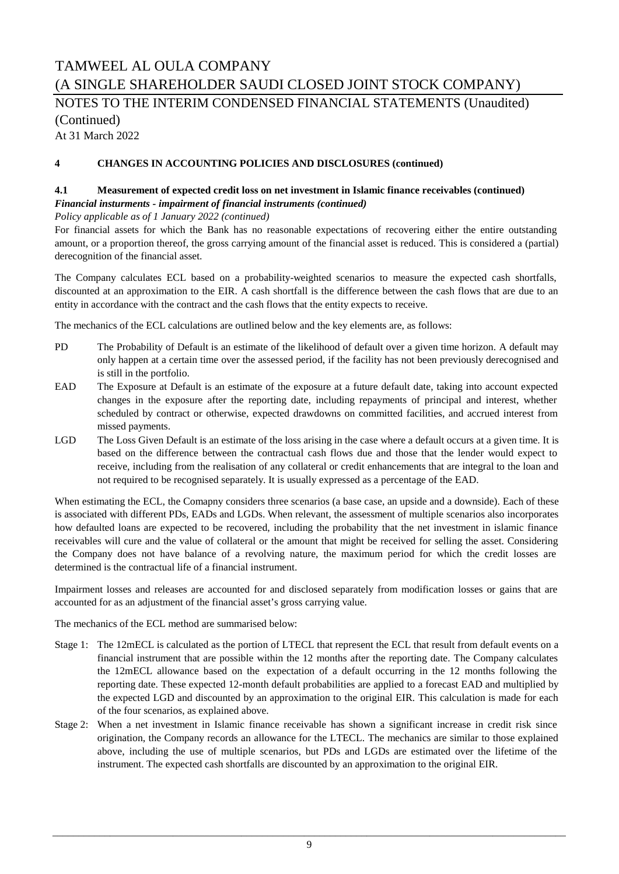### TAMWEEL AL OULA COMPANY (A SINGLE SHAREHOLDER SAUDI CLOSED JOINT STOCK COMPANY) At 31 March 2022 NOTES TO THE INTERIM CONDENSED FINANCIAL STATEMENTS (Unaudited) (Continued)

#### **4 CHANGES IN ACCOUNTING POLICIES AND DISCLOSURES (continued)**

#### **4.1 Measurement of expected credit loss on net investment in Islamic finance receivables (continued)** *Financial insturments - impairment of financial instruments (continued)*

*Policy applicable as of 1 January 2022 (continued)*

For financial assets for which the Bank has no reasonable expectations of recovering either the entire outstanding amount, or a proportion thereof, the gross carrying amount of the financial asset is reduced. This is considered a (partial) derecognition of the financial asset.

The Company calculates ECL based on a probability-weighted scenarios to measure the expected cash shortfalls, discounted at an approximation to the EIR. A cash shortfall is the difference between the cash flows that are due to an entity in accordance with the contract and the cash flows that the entity expects to receive.

The mechanics of the ECL calculations are outlined below and the key elements are, as follows:

- PD The Probability of Default is an estimate of the likelihood of default over a given time horizon. A default may only happen at a certain time over the assessed period, if the facility has not been previously derecognised and is still in the portfolio.
- **EAD** The Exposure at Default is an estimate of the exposure at a future default date, taking into account expected changes in the exposure after the reporting date, including repayments of principal and interest, whether scheduled by contract or otherwise, expected drawdowns on committed facilities, and accrued interest from missed payments.
- LGD The Loss Given Default is an estimate of the loss arising in the case where a default occurs at a given time. It is based on the difference between the contractual cash flows due and those that the lender would expect to receive, including from the realisation of any collateral or credit enhancements that are integral to the loan and not required to be recognised separately. It is usually expressed as a percentage of the EAD.

When estimating the ECL, the Comapny considers three scenarios (a base case, an upside and a downside). Each of these is associated with different PDs, EADs and LGDs. When relevant, the assessment of multiple scenarios also incorporates how defaulted loans are expected to be recovered, including the probability that the net investment in islamic finance receivables will cure and the value of collateral or the amount that might be received for selling the asset. Considering the Company does not have balance of a revolving nature, the maximum period for which the credit losses are determined is the contractual life of a financial instrument.

Impairment losses and releases are accounted for and disclosed separately from modification losses or gains that are accounted for as an adjustment of the financial asset's gross carrying value.

The mechanics of the ECL method are summarised below:

- Stage 1: The 12mECL is calculated as the portion of LTECL that represent the ECL that result from default events on a financial instrument that are possible within the 12 months after the reporting date. The Company calculates the 12mECL allowance based on the expectation of a default occurring in the 12 months following the reporting date. These expected 12-month default probabilities are applied to a forecast EAD and multiplied by the expected LGD and discounted by an approximation to the original EIR. This calculation is made for each of the four scenarios, as explained above.
- Stage 2: When a net investment in Islamic finance receivable has shown a significant increase in credit risk since origination, the Company records an allowance for the LTECL. The mechanics are similar to those explained above, including the use of multiple scenarios, but PDs and LGDs are estimated over the lifetime of the instrument. The expected cash shortfalls are discounted by an approximation to the original EIR.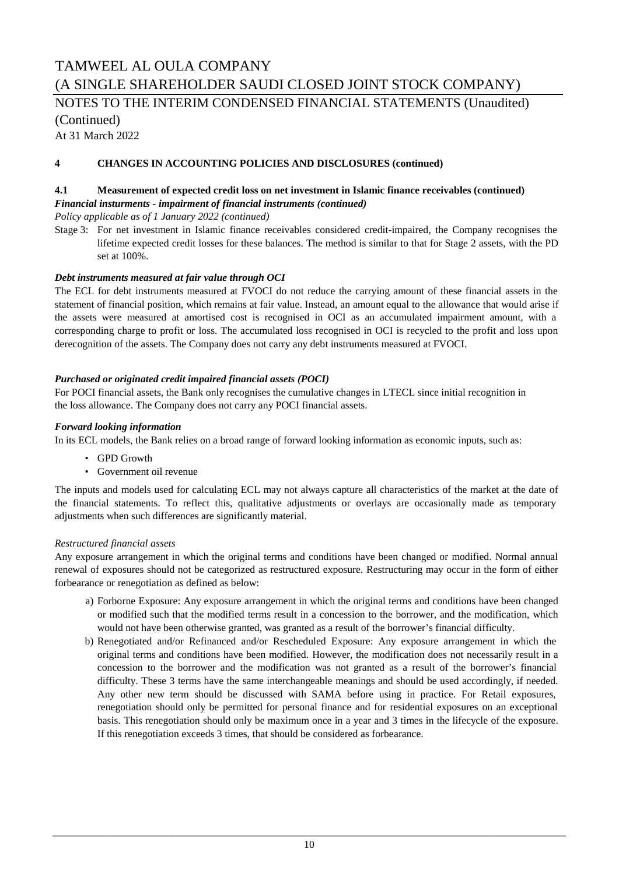## TAMWEEL AL OULA COMPANY (A SINGLE SHAREHOLDER SAUDI CLOSED JOINT STOCK COMPANY) NOTES TO THE INTERIM CONDENSED FINANCIAL STATEMENTS (Unaudited) (Continued)

At 31 March 2022

#### **4 CHANGES IN ACCOUNTING POLICIES AND DISCLOSURES (continued)**

#### **4.1 Measurement of expected credit loss on net investment in Islamic finance receivables (continued)** *Financial insturments - impairment of financial instruments (continued)*

*Policy applicable as of 1 January 2022 (continued)*

Stage 3: For net investment in Islamic finance receivables considered credit-impaired, the Company recognises the lifetime expected credit losses for these balances. The method is similar to that for Stage 2 assets, with the PD set at 100%.

#### *Debt instruments measured at fair value through OCI*

The ECL for debt instruments measured at FVOCI do not reduce the carrying amount of these financial assets in the statement of financial position, which remains at fair value. Instead, an amount equal to the allowance that would arise if the assets were measured at amortised cost is recognised in OCI as an accumulated impairment amount, with a corresponding charge to profit or loss. The accumulated loss recognised in OCI is recycled to the profit and loss upon derecognition of the assets. The Company does not carry any debt instruments measured at FVOCI.

#### *Purchased or originated credit impaired financial assets (POCI)*

For POCI financial assets, the Bank only recognises the cumulative changes in LTECL since initial recognition in the loss allowance. The Company does not carry any POCI financial assets.

#### *Forward looking information*

In its ECL models, the Bank relies on a broad range of forward looking information as economic inputs, such as:

- GPD Growth
- Government oil revenue

The inputs and models used for calculating ECL may not always capture all characteristics of the market at the date of the financial statements. To reflect this, qualitative adjustments or overlays are occasionally made as temporary adjustments when such differences are significantly material.

#### *Restructured financial assets*

Any exposure arrangement in which the original terms and conditions have been changed or modified. Normal annual renewal of exposures should not be categorized as restructured exposure. Restructuring may occur in the form of either forbearance or renegotiation as defined as below:

- a) Forborne Exposure: Any exposure arrangement in which the original terms and conditions have been changed or modified such that the modified terms result in a concession to the borrower, and the modification, which would not have been otherwise granted, was granted as a result of the borrower's financial difficulty.
- b) Renegotiated and/or Refinanced and/or Rescheduled Exposure: Any exposure arrangement in which the original terms and conditions have been modified. However, the modification does not necessarily result in a concession to the borrower and the modification was not granted as a result of the borrower's financial difficulty. These 3 terms have the same interchangeable meanings and should be used accordingly, if needed. Any other new term should be discussed with SAMA before using in practice. For Retail exposures, renegotiation should only be permitted for personal finance and for residential exposures on an exceptional basis. This renegotiation should only be maximum once in a year and 3 times in the lifecycle of the exposure. If this renegotiation exceeds 3 times, that should be considered as forbearance.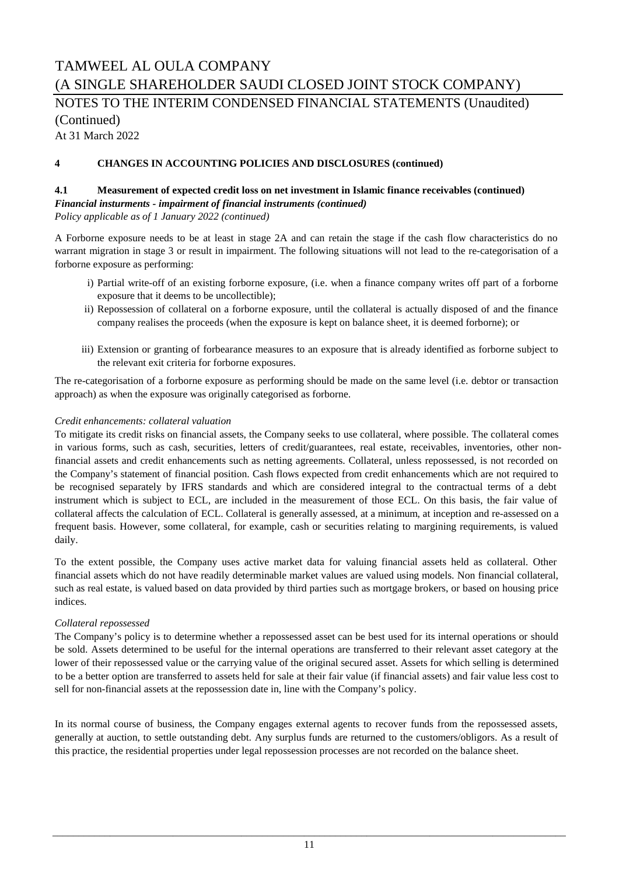# TAMWEEL AL OULA COMPANY (A SINGLE SHAREHOLDER SAUDI CLOSED JOINT STOCK COMPANY) NOTES TO THE INTERIM CONDENSED FINANCIAL STATEMENTS (Unaudited) (Continued)

At 31 March 2022

#### **4 CHANGES IN ACCOUNTING POLICIES AND DISCLOSURES (continued)**

### **4.1 Measurement of expected credit loss on net investment in Islamic finance receivables (continued)** *Financial insturments - impairment of financial instruments (continued)*

*Policy applicable as of 1 January 2022 (continued)*

A Forborne exposure needs to be at least in stage 2A and can retain the stage if the cash flow characteristics do no warrant migration in stage 3 or result in impairment. The following situations will not lead to the re-categorisation of a forborne exposure as performing:

- i) Partial write-off of an existing forborne exposure, (i.e. when a finance company writes off part of a forborne exposure that it deems to be uncollectible);
- ii) Repossession of collateral on a forborne exposure, until the collateral is actually disposed of and the finance company realises the proceeds (when the exposure is kept on balance sheet, it is deemed forborne); or
- iii) Extension or granting of forbearance measures to an exposure that is already identified as forborne subject to the relevant exit criteria for forborne exposures.

The re-categorisation of a forborne exposure as performing should be made on the same level (i.e. debtor or transaction approach) as when the exposure was originally categorised as forborne.

#### *Credit enhancements: collateral valuation*

To mitigate its credit risks on financial assets, the Company seeks to use collateral, where possible. The collateral comes in various forms, such as cash, securities, letters of credit/guarantees, real estate, receivables, inventories, other nonfinancial assets and credit enhancements such as netting agreements. Collateral, unless repossessed, is not recorded on the Company's statement of financial position. Cash flows expected from credit enhancements which are not required to be recognised separately by IFRS standards and which are considered integral to the contractual terms of a debt instrument which is subject to ECL, are included in the measurement of those ECL. On this basis, the fair value of collateral affects the calculation of ECL. Collateral is generally assessed, at a minimum, at inception and re-assessed on a frequent basis. However, some collateral, for example, cash or securities relating to margining requirements, is valued daily.

To the extent possible, the Company uses active market data for valuing financial assets held as collateral. Other financial assets which do not have readily determinable market values are valued using models. Non financial collateral, such as real estate, is valued based on data provided by third parties such as mortgage brokers, or based on housing price indices.

#### *Collateral repossessed*

The Company's policy is to determine whether a repossessed asset can be best used for its internal operations or should be sold. Assets determined to be useful for the internal operations are transferred to their relevant asset category at the lower of their repossessed value or the carrying value of the original secured asset. Assets for which selling is determined to be a better option are transferred to assets held for sale at their fair value (if financial assets) and fair value less cost to sell for non-financial assets at the repossession date in, line with the Company's policy.

In its normal course of business, the Company engages external agents to recover funds from the repossessed assets, generally at auction, to settle outstanding debt. Any surplus funds are returned to the customers/obligors. As a result of this practice, the residential properties under legal repossession processes are not recorded on the balance sheet.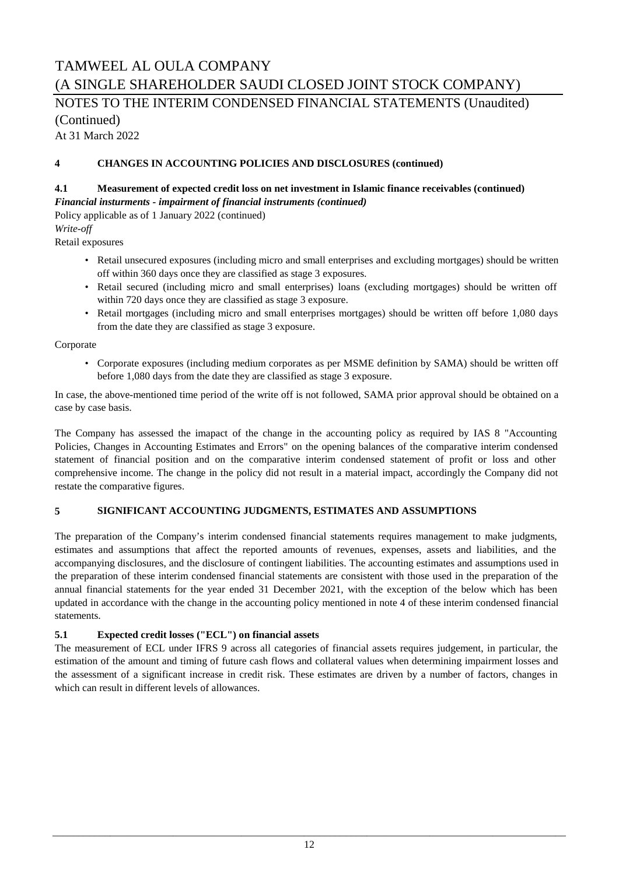NOTES TO THE INTERIM CONDENSED FINANCIAL STATEMENTS (Unaudited) (Continued)

At 31 March 2022

#### **4 CHANGES IN ACCOUNTING POLICIES AND DISCLOSURES (continued)**

### **4.1 Measurement of expected credit loss on net investment in Islamic finance receivables (continued)**

*Financial insturments - impairment of financial instruments (continued)*

Policy applicable as of 1 January 2022 (continued) *Write-off*

Retail exposures

- Retail unsecured exposures (including micro and small enterprises and excluding mortgages) should be written off within 360 days once they are classified as stage 3 exposures.
- Retail secured (including micro and small enterprises) loans (excluding mortgages) should be written off within 720 days once they are classified as stage 3 exposure.
- Retail mortgages (including micro and small enterprises mortgages) should be written off before 1,080 days from the date they are classified as stage 3 exposure.

Corporate

• Corporate exposures (including medium corporates as per MSME definition by SAMA) should be written off before 1,080 days from the date they are classified as stage 3 exposure.

In case, the above-mentioned time period of the write off is not followed, SAMA prior approval should be obtained on a case by case basis.

The Company has assessed the imapact of the change in the accounting policy as required by IAS 8 "Accounting Policies, Changes in Accounting Estimates and Errors" on the opening balances of the comparative interim condensed statement of financial position and on the comparative interim condensed statement of profit or loss and other comprehensive income. The change in the policy did not result in a material impact, accordingly the Company did not restate the comparative figures.

#### **5 SIGNIFICANT ACCOUNTING JUDGMENTS, ESTIMATES AND ASSUMPTIONS**

The preparation of the Company's interim condensed financial statements requires management to make judgments, estimates and assumptions that affect the reported amounts of revenues, expenses, assets and liabilities, and the accompanying disclosures, and the disclosure of contingent liabilities. The accounting estimates and assumptions used in the preparation of these interim condensed financial statements are consistent with those used in the preparation of the annual financial statements for the year ended 31 December 2021, with the exception of the below which has been updated in accordance with the change in the accounting policy mentioned in note 4 of these interim condensed financial statements.

#### **5.1 Expected credit losses ("ECL") on financial assets**

The measurement of ECL under IFRS 9 across all categories of financial assets requires judgement, in particular, the estimation of the amount and timing of future cash flows and collateral values when determining impairment losses and the assessment of a significant increase in credit risk. These estimates are driven by a number of factors, changes in which can result in different levels of allowances.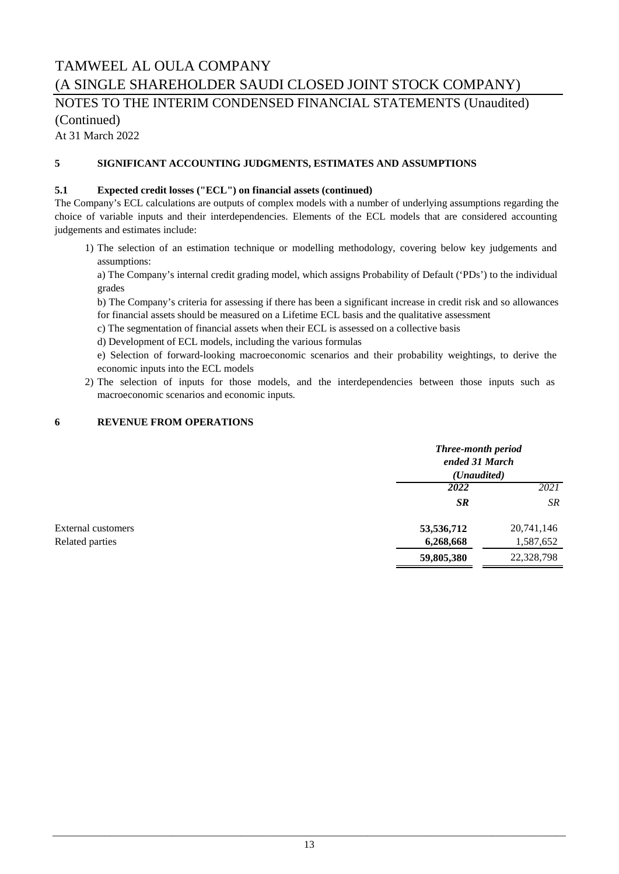### NOTES TO THE INTERIM CONDENSED FINANCIAL STATEMENTS (Unaudited) (Continued)

At 31 March 2022

#### **5 SIGNIFICANT ACCOUNTING JUDGMENTS, ESTIMATES AND ASSUMPTIONS**

#### **5.1 Expected credit losses ("ECL") on financial assets (continued)**

The Company's ECL calculations are outputs of complex models with a number of underlying assumptions regarding the choice of variable inputs and their interdependencies. Elements of the ECL models that are considered accounting judgements and estimates include:

1) The selection of an estimation technique or modelling methodology, covering below key judgements and assumptions:

a) The Company's internal credit grading model, which assigns Probability of Default ('PDs') to the individual grades

b) The Company's criteria for assessing if there has been a significant increase in credit risk and so allowances for financial assets should be measured on a Lifetime ECL basis and the qualitative assessment

- c) The segmentation of financial assets when their ECL is assessed on a collective basis
- d) Development of ECL models, including the various formulas

e) Selection of forward-looking macroeconomic scenarios and their probability weightings, to derive the economic inputs into the ECL models

2) The selection of inputs for those models, and the interdependencies between those inputs such as macroeconomic scenarios and economic inputs.

#### **6 REVENUE FROM OPERATIONS**

|                           | Three-month period<br>ended 31 March<br>( <i>Unaudited</i> ) |            |
|---------------------------|--------------------------------------------------------------|------------|
|                           | 2022                                                         | 2021       |
|                           | <b>SR</b>                                                    | SR         |
| <b>External customers</b> | 53,536,712                                                   | 20,741,146 |
| Related parties           | 6,268,668                                                    | 1,587,652  |
|                           | 59,805,380                                                   | 22,328,798 |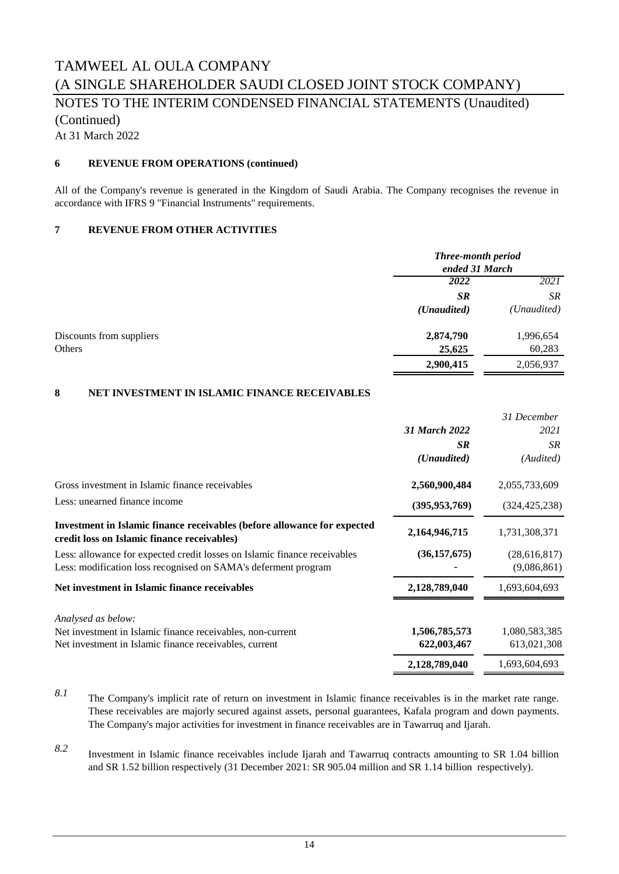# TAMWEEL AL OULA COMPANY (A SINGLE SHAREHOLDER SAUDI CLOSED JOINT STOCK COMPANY) NOTES TO THE INTERIM CONDENSED FINANCIAL STATEMENTS (Unaudited) (Continued)

At 31 March 2022

#### **6 REVENUE FROM OPERATIONS (continued)**

All of the Company's revenue is generated in the Kingdom of Saudi Arabia. The Company recognises the revenue in accordance with IFRS 9 "Financial Instruments" requirements.

#### **7 REVENUE FROM OTHER ACTIVITIES**

|                          | Three-month period<br>ended 31 March |                      |
|--------------------------|--------------------------------------|----------------------|
|                          | 2022                                 | 2021                 |
|                          | <b>SR</b>                            | SR                   |
|                          | ( <i>Unaudited</i> )                 | ( <i>Unaudited</i> ) |
| Discounts from suppliers | 2,874,790                            | 1,996,654            |
| Others                   | 25,625                               | 60,283               |
|                          | 2,900,415                            | 2,056,937            |

#### **8 NET INVESTMENT IN ISLAMIC FINANCE RECEIVABLES**

|                                                                                                                                             |                      | 31 December                   |
|---------------------------------------------------------------------------------------------------------------------------------------------|----------------------|-------------------------------|
|                                                                                                                                             | 31 March 2022        | 2021                          |
|                                                                                                                                             | <b>SR</b>            | SR                            |
|                                                                                                                                             | ( <i>Unaudited</i> ) | (Audited)                     |
| Gross investment in Islamic finance receivables                                                                                             | 2,560,900,484        | 2,055,733,609                 |
| Less: unearned finance income                                                                                                               | (395, 953, 769)      | (324, 425, 238)               |
| Investment in Islamic finance receivables (before allowance for expected<br>credit loss on Islamic finance receivables)                     | 2,164,946,715        | 1,731,308,371                 |
| Less: allowance for expected credit losses on Islamic finance receivables<br>Less: modification loss recognised on SAMA's deferment program | (36, 157, 675)       | (28, 616, 817)<br>(9,086,861) |
| Net investment in Islamic finance receivables                                                                                               | 2,128,789,040        | 1,693,604,693                 |
| Analysed as below:                                                                                                                          |                      |                               |
| Net investment in Islamic finance receivables, non-current                                                                                  | 1,506,785,573        | 1,080,583,385                 |
| Net investment in Islamic finance receivables, current                                                                                      | 622,003,467          | 613,021,308                   |
|                                                                                                                                             | 2,128,789,040        | 1,693,604,693                 |

- *8.1* The Company's implicit rate of return on investment in Islamic finance receivables is in the market rate range. These receivables are majorly secured against assets, personal guarantees, Kafala program and down payments. The Company's major activities for investment in finance receivables are in Tawarruq and Ijarah.
- *8.2* Investment in Islamic finance receivables include Ijarah and Tawarruq contracts amounting to SR 1.04 billion and SR 1.52 billion respectively (31 December 2021: SR 905.04 million and SR 1.14 billion respectively).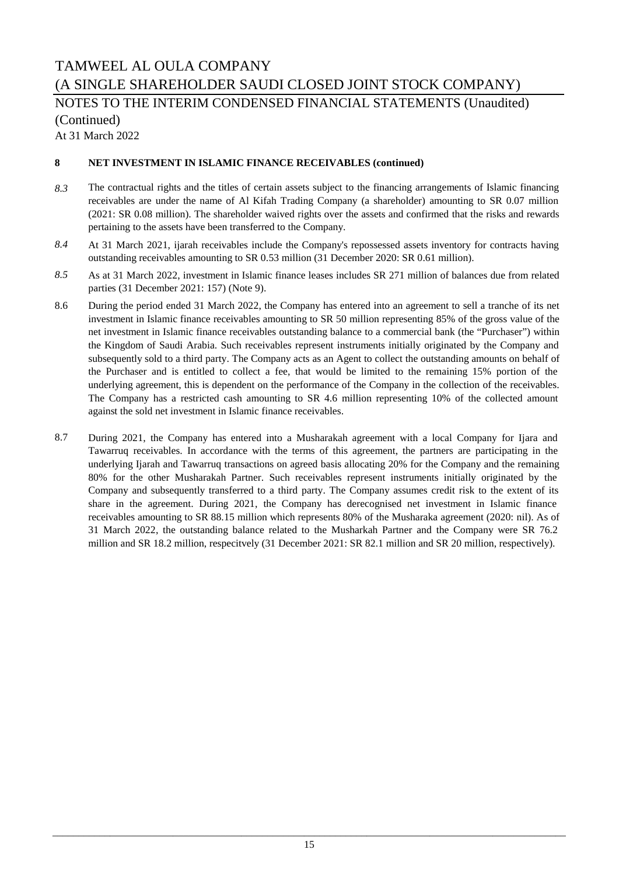### NOTES TO THE INTERIM CONDENSED FINANCIAL STATEMENTS (Unaudited) (Continued)

At 31 March 2022

#### **8 NET INVESTMENT IN ISLAMIC FINANCE RECEIVABLES (continued)**

- *8.3* The contractual rights and the titles of certain assets subject to the financing arrangements of Islamic financing receivables are under the name of Al Kifah Trading Company (a shareholder) amounting to SR 0.07 million (2021: SR 0.08 million). The shareholder waived rights over the assets and confirmed that the risks and rewards pertaining to the assets have been transferred to the Company.
- *8.4* At 31 March 2021, ijarah receivables include the Company's repossessed assets inventory for contracts having outstanding receivables amounting to SR 0.53 million (31 December 2020: SR 0.61 million).
- *8.5* As at 31 March 2022, investment in Islamic finance leases includes SR 271 million of balances due from related parties (31 December 2021: 157) (Note 9).
- 8.6 During the period ended 31 March 2022, the Company has entered into an agreement to sell a tranche of its net investment in Islamic finance receivables amounting to SR 50 million representing 85% of the gross value of the net investment in Islamic finance receivables outstanding balance to a commercial bank (the "Purchaser") within the Kingdom of Saudi Arabia. Such receivables represent instruments initially originated by the Company and subsequently sold to a third party. The Company acts as an Agent to collect the outstanding amounts on behalf of the Purchaser and is entitled to collect a fee, that would be limited to the remaining 15% portion of the underlying agreement, this is dependent on the performance of the Company in the collection of the receivables. The Company has a restricted cash amounting to SR 4.6 million representing 10% of the collected amount against the sold net investment in Islamic finance receivables.
- 8.7 During 2021, the Company has entered into a Musharakah agreement with a local Company for Ijara and Tawarruq receivables. In accordance with the terms of this agreement, the partners are participating in the underlying Ijarah and Tawarruq transactions on agreed basis allocating 20% for the Company and the remaining 80% for the other Musharakah Partner. Such receivables represent instruments initially originated by the Company and subsequently transferred to a third party. The Company assumes credit risk to the extent of its share in the agreement. During 2021, the Company has derecognised net investment in Islamic finance receivables amounting to SR 88.15 million which represents 80% of the Musharaka agreement (2020: nil). As of 31 March 2022, the outstanding balance related to the Musharkah Partner and the Company were SR 76.2 million and SR 18.2 million, respecitvely (31 December 2021: SR 82.1 million and SR 20 million, respectively).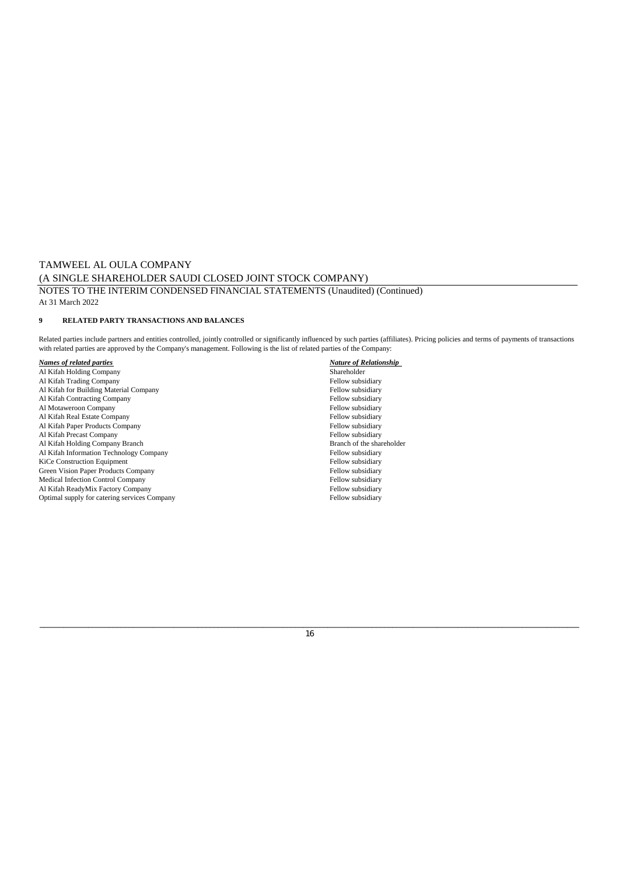#### TAMWEEL AL OULA COMPANY (A SINGLE SHAREHOLDER SAUDI CLOSED JOINT STOCK COMPANY) NOTES TO THE INTERIM CONDENSED FINANCIAL STATEMENTS (Unaudited) (Continued) At 31 March 2022

#### **9 RELATED PARTY TRANSACTIONS AND BALANCES**

Related parties include partners and entities controlled, jointly controlled or significantly influenced by such parties (affiliates). Pricing policies and terms of payments of transactions with related parties are approved by the Company's management. Following is the list of related parties of the Company:

- Al Kifah Holding Company Shareholder Al Kifah Trading Company **Fellow subsidiary** Fellow subsidiary **Fellow subsidiary** Fellow subsidiary **Fellow** subsidiary Al Kifah for Building Material Company Fellow subsidiary Al Kifah Contracting Company Fellow subsidiary Fellow subsidiary Fellow subsidiary Fellow subsidiary Fellow subsidiary Al Motaweroon Company<br>
Al Kifah Real Estate Company<br>
Fellow subsidiary<br>
Fellow subsidiary<br>
Fellow subsidiary Al Kifah Real Estate Company Fellow subsidiary Al Kifah Paper Products Company<br>
Al Kifah Paper Products Company<br>
Al Kifah Precast Company<br>
Fellow subsidiary<br>
Fellow subsidiary Al Kifah Precast Company<br>
Al Kifah Holding Company Branch<br>
Branch of the shareholder<br>
Branch of the shareholder Al Kifah Holding Company Branch<br>
Al Kifah Information Technology Company<br>
Fellow subsidiary Al Kifah Information Technology Company Fellow subsidiary Fellow subsidiary Fellow subsidiary Fellow subsidiary Fellow subsidiary Fellow subsidiary Fellow subsidiary Fellow subsidiary Fellow subsidiary Fellow subsidiary Fe KiCe Construction Equipment<br>
Green Vision Paper Products Company<br>
Fellow subsidiary<br>
Fellow subsidiary Green Vision Paper Products Company Medical Infection Control Company Fellow subsidiary Al Kifah ReadyMix Factory Company Fellow subsidiary Fellow subsidiary Fellow subsidiary Potimal supply for catering services Company Optimal supply for catering services Company
- *Names of related parties Nature of Relationship*

#### \_\_\_\_\_\_\_\_\_\_\_\_\_\_\_\_\_\_\_\_\_\_\_\_\_\_\_\_\_\_\_\_\_\_\_\_\_\_\_\_\_\_\_\_\_\_\_\_\_\_\_\_\_\_\_\_\_\_\_\_\_\_\_\_\_\_\_\_\_\_\_\_\_\_\_\_\_\_\_\_\_\_\_\_\_\_\_\_\_\_\_\_\_\_\_\_\_\_\_\_\_\_\_\_\_\_\_\_\_\_\_\_\_\_\_\_\_\_\_\_\_\_\_\_\_\_\_\_\_\_\_\_\_ 16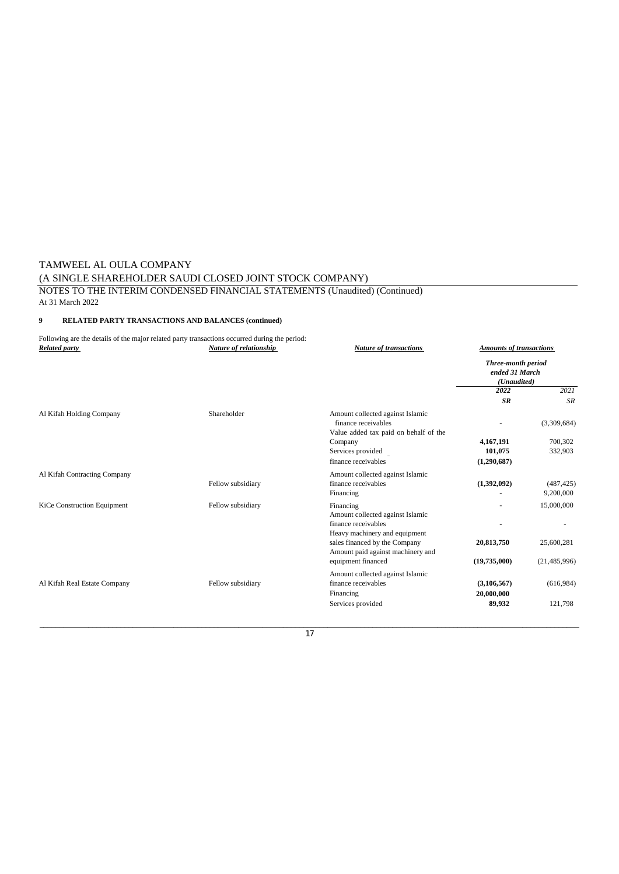#### TAMWEEL AL OULA COMPANY (A SINGLE SHAREHOLDER SAUDI CLOSED JOINT STOCK COMPANY) NOTES TO THE INTERIM CONDENSED FINANCIAL STATEMENTS (Unaudited) (Continued) At 31 March 2022

#### **9 RELATED PARTY TRANSACTIONS AND BALANCES (continued)**

| <b>Related party</b>         | Following are the details of the major related party transactions occurred during the period:<br>Nature of relationship | <b>Nature of transactions</b>                                                                    | <b>Amounts of transactions</b>                      |                         |
|------------------------------|-------------------------------------------------------------------------------------------------------------------------|--------------------------------------------------------------------------------------------------|-----------------------------------------------------|-------------------------|
|                              |                                                                                                                         |                                                                                                  | Three-month period<br>ended 31 March<br>(Unaudited) |                         |
|                              |                                                                                                                         |                                                                                                  | 2022                                                | 2021                    |
|                              |                                                                                                                         |                                                                                                  | <b>SR</b>                                           | <b>SR</b>               |
| Al Kifah Holding Company     | Shareholder                                                                                                             | Amount collected against Islamic<br>finance receivables<br>Value added tax paid on behalf of the |                                                     | (3,309,684)             |
|                              |                                                                                                                         | Company                                                                                          | 4,167,191                                           | 700,302                 |
|                              |                                                                                                                         | Services provided                                                                                | 101,075                                             | 332,903                 |
|                              |                                                                                                                         | finance receivables                                                                              | (1,290,687)                                         |                         |
| Al Kifah Contracting Company | Fellow subsidiary                                                                                                       | Amount collected against Islamic<br>finance receivables<br>Financing                             | (1,392,092)                                         | (487, 425)<br>9,200,000 |
| KiCe Construction Equipment  | Fellow subsidiary                                                                                                       | Financing<br>Amount collected against Islamic                                                    |                                                     | 15,000,000              |
|                              |                                                                                                                         | finance receivables<br>Heavy machinery and equipment                                             |                                                     |                         |
|                              |                                                                                                                         | sales financed by the Company<br>Amount paid against machinery and                               | 20,813,750                                          | 25,600,281              |
|                              |                                                                                                                         | equipment financed                                                                               | (19,735,000)                                        | (21, 485, 996)          |
|                              |                                                                                                                         | Amount collected against Islamic                                                                 |                                                     |                         |
| Al Kifah Real Estate Company | Fellow subsidiary                                                                                                       | finance receivables                                                                              | (3, 106, 567)                                       | (616,984)               |
|                              |                                                                                                                         | Financing                                                                                        | 20,000,000                                          |                         |
|                              |                                                                                                                         | Services provided                                                                                | 89,932                                              | 121,798                 |
|                              |                                                                                                                         |                                                                                                  |                                                     |                         |

17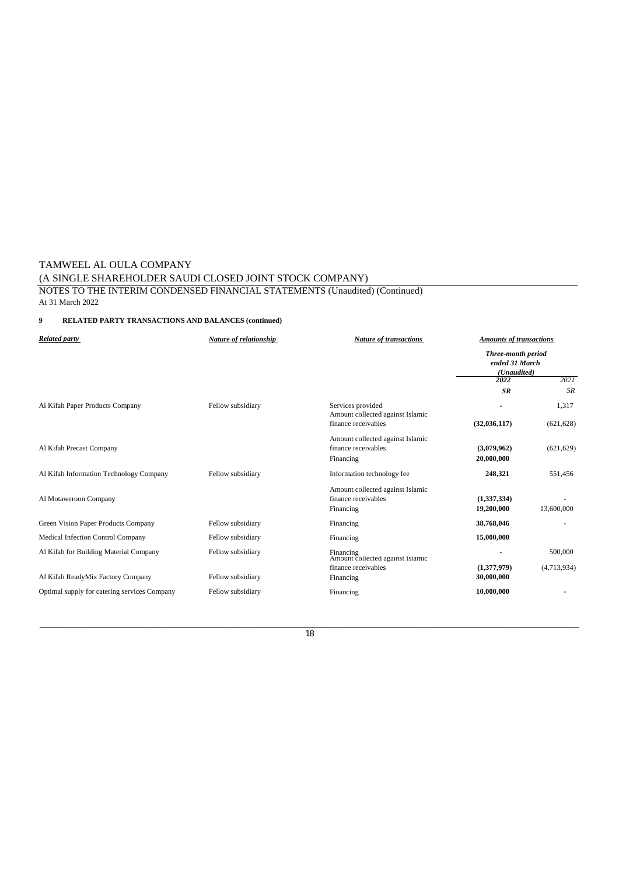#### TAMWEEL AL OULA COMPANY (A SINGLE SHAREHOLDER SAUDI CLOSED JOINT STOCK COMPANY) NOTES TO THE INTERIM CONDENSED FINANCIAL STATEMENTS (Unaudited) (Continued) At 31 March 2022

#### **9 RELATED PARTY TRANSACTIONS AND BALANCES (continued)**

| <b>Related party</b>                         | Nature of relationship | <b>Nature of transactions</b>                                        | <b>Amounts of transactions</b>                             |             |
|----------------------------------------------|------------------------|----------------------------------------------------------------------|------------------------------------------------------------|-------------|
|                                              |                        |                                                                      | <b>Three-month period</b><br>ended 31 March<br>(Unaudited) |             |
|                                              |                        |                                                                      | 2022                                                       | 2021        |
|                                              |                        |                                                                      | <b>SR</b>                                                  | <b>SR</b>   |
| Al Kifah Paper Products Company              | Fellow subsidiary      | Services provided<br>Amount collected against Islamic                |                                                            | 1,317       |
|                                              |                        | finance receivables                                                  | (32, 036, 117)                                             | (621, 628)  |
| Al Kifah Precast Company                     |                        | Amount collected against Islamic<br>finance receivables<br>Financing | (3,079,962)<br>20,000,000                                  | (621, 629)  |
| Al Kifah Information Technology Company      | Fellow subsidiary      | Information technology fee                                           | 248,321                                                    | 551,456     |
| Al Motaweroon Company                        |                        | Amount collected against Islamic<br>finance receivables<br>Financing | (1,337,334)<br>19,200,000                                  | 13,600,000  |
| Green Vision Paper Products Company          | Fellow subsidiary      | Financing                                                            | 38,768,046                                                 |             |
| Medical Infection Control Company            | Fellow subsidiary      | Financing                                                            | 15,000,000                                                 |             |
| Al Kifah for Building Material Company       | Fellow subsidiary      | Financing<br>Amount collected against Islamic                        |                                                            | 500,000     |
| Al Kifah ReadyMix Factory Company            | Fellow subsidiary      | finance receivables<br>Financing                                     | (1,377,979)<br>30,000,000                                  | (4,713,934) |
| Optimal supply for catering services Company | Fellow subsidiary      | Financing                                                            | 10,000,000                                                 |             |
|                                              |                        |                                                                      |                                                            |             |

\_\_\_\_\_\_\_\_\_\_\_\_\_\_\_\_\_\_\_\_\_\_\_\_\_\_\_\_\_\_\_\_\_\_\_\_\_\_\_\_\_\_\_\_\_\_\_\_\_\_\_\_\_\_\_\_\_\_\_\_\_\_\_\_\_\_\_\_\_\_\_\_\_\_\_\_\_\_\_\_\_\_\_\_\_\_\_\_\_\_\_\_\_\_\_\_\_\_\_\_\_\_\_\_\_\_\_\_\_\_\_\_\_\_\_\_\_\_\_\_\_\_\_\_\_\_\_\_\_\_\_\_\_ 18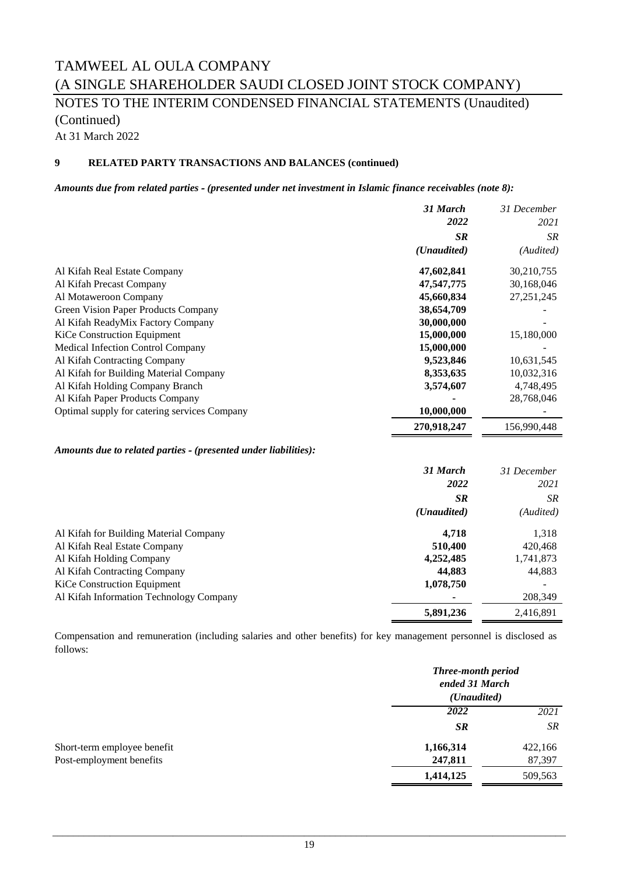## TAMWEEL AL OULA COMPANY (A SINGLE SHAREHOLDER SAUDI CLOSED JOINT STOCK COMPANY) NOTES TO THE INTERIM CONDENSED FINANCIAL STATEMENTS (Unaudited)

(Continued)

At 31 March 2022

#### **9 RELATED PARTY TRANSACTIONS AND BALANCES (continued)**

*Amounts due from related parties ‑ (presented under net investment in Islamic finance receivables (note 8):*

|                                                                 | 31 March             | 31 December  |
|-----------------------------------------------------------------|----------------------|--------------|
|                                                                 | 2022                 | 2021         |
|                                                                 | <b>SR</b>            | <b>SR</b>    |
|                                                                 | (Unaudited)          | (Audited)    |
| Al Kifah Real Estate Company                                    | 47,602,841           | 30,210,755   |
| Al Kifah Precast Company                                        | 47,547,775           | 30,168,046   |
| Al Motaweroon Company                                           | 45,660,834           | 27, 251, 245 |
| Green Vision Paper Products Company                             | 38,654,709           |              |
| Al Kifah ReadyMix Factory Company                               | 30,000,000           |              |
| <b>KiCe Construction Equipment</b>                              | 15,000,000           | 15,180,000   |
| <b>Medical Infection Control Company</b>                        | 15,000,000           |              |
| Al Kifah Contracting Company                                    | 9,523,846            | 10,631,545   |
| Al Kifah for Building Material Company                          | 8,353,635            | 10,032,316   |
| Al Kifah Holding Company Branch                                 | 3,574,607            | 4,748,495    |
| Al Kifah Paper Products Company                                 |                      | 28,768,046   |
| Optimal supply for catering services Company                    | 10,000,000           |              |
|                                                                 | 270,918,247          | 156,990,448  |
| Amounts due to related parties - (presented under liabilities): |                      |              |
|                                                                 | 31 March             | 31 December  |
|                                                                 | 2022                 | 2021         |
|                                                                 | <b>SR</b>            | <b>SR</b>    |
|                                                                 | ( <i>Unaudited</i> ) | (Audited)    |
| Al Kifah for Building Material Company                          | 4,718                | 1,318        |
| Al Kifah Real Estate Company                                    | 510,400              | 420,468      |
| Al Kifah Holding Company                                        | 4,252,485            | 1,741,873    |
| Al Kifah Contracting Company                                    | 44.883               | 44.883       |

Al Kifah Contracting Company **44,883** 44,883 KiCe Construction Equipment **1,078,750** Al Kifah Information Technology Company **-** 208,349 **5,891,236** 2,416,891

Compensation and remuneration (including salaries and other benefits) for key management personnel is disclosed as follows:

|                             | Three-month period<br>ended 31 March<br>( <i>Unaudited</i> ) |         |
|-----------------------------|--------------------------------------------------------------|---------|
|                             | 2022                                                         | 2021    |
|                             | <b>SR</b>                                                    | SR      |
| Short-term employee benefit | 1,166,314                                                    | 422,166 |
| Post-employment benefits    | 247,811                                                      | 87,397  |
|                             | 1,414,125                                                    | 509,563 |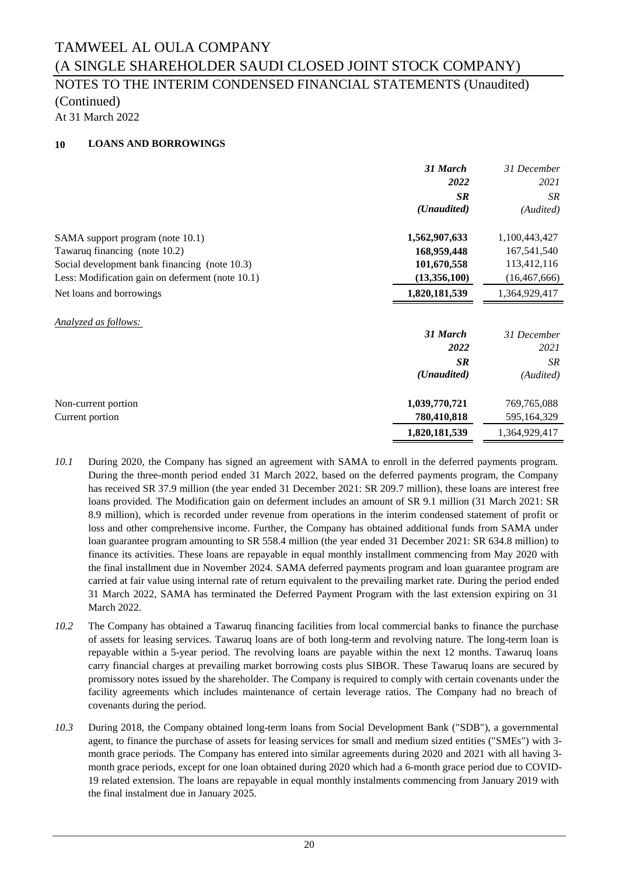### NOTES TO THE INTERIM CONDENSED FINANCIAL STATEMENTS (Unaudited) (Continued)

At 31 March 2022

#### **10 LOANS AND BORROWINGS**

|                                                  | 31 March      | 31 December    |
|--------------------------------------------------|---------------|----------------|
|                                                  | 2022          | 2021           |
|                                                  | <b>SR</b>     | <b>SR</b>      |
|                                                  | (Unaudited)   | (Audited)      |
| SAMA support program (note 10.1)                 | 1,562,907,633 | 1,100,443,427  |
| Tawaruq financing (note 10.2)                    | 168,959,448   | 167,541,540    |
| Social development bank financing (note 10.3)    | 101,670,558   | 113,412,116    |
| Less: Modification gain on deferment (note 10.1) | (13,356,100)  | (16, 467, 666) |
| Net loans and borrowings                         | 1,820,181,539 | 1,364,929,417  |
| <b>Analyzed as follows:</b>                      |               |                |
|                                                  | 31 March      | 31 December    |
|                                                  | 2022          | 2021           |
|                                                  | <b>SR</b>     | SR             |
|                                                  | (Unaudited)   | (Audited)      |
| Non-current portion                              | 1,039,770,721 | 769,765,088    |
|                                                  |               |                |
| Current portion                                  | 780,410,818   | 595,164,329    |

- *10.1* During 2020, the Company has signed an agreement with SAMA to enroll in the deferred payments program. During the three-month period ended 31 March 2022, based on the deferred payments program, the Company has received SR 37.9 million (the year ended 31 December 2021: SR 209.7 million), these loans are interest free loans provided. The Modification gain on deferment includes an amount of SR 9.1 million (31 March 2021: SR 8.9 million), which is recorded under revenue from operations in the interim condensed statement of profit or loss and other comprehensive income. Further, the Company has obtained additional funds from SAMA under loan guarantee program amounting to SR 558.4 million (the year ended 31 December 2021: SR 634.8 million) to finance its activities. These loans are repayable in equal monthly installment commencing from May 2020 with the final installment due in November 2024. SAMA deferred payments program and loan guarantee program are carried at fair value using internal rate of return equivalent to the prevailing market rate. During the period ended 31 March 2022, SAMA has terminated the Deferred Payment Program with the last extension expiring on 31 March 2022.
- *10.2* The Company has obtained a Tawaruq financing facilities from local commercial banks to finance the purchase of assets for leasing services. Tawaruq loans are of both long-term and revolving nature. The long-term loan is repayable within a 5-year period. The revolving loans are payable within the next 12 months. Tawaruq loans carry financial charges at prevailing market borrowing costs plus SIBOR. These Tawaruq loans are secured by promissory notes issued by the shareholder. The Company is required to comply with certain covenants under the facility agreements which includes maintenance of certain leverage ratios. The Company had no breach of covenants during the period.
- *10.3* During 2018, the Company obtained long-term loans from Social Development Bank ("SDB"), a governmental agent, to finance the purchase of assets for leasing services for small and medium sized entities ("SMEs") with 3 month grace periods. The Company has entered into similar agreements during 2020 and 2021 with all having 3 month grace periods, except for one loan obtained during 2020 which had a 6-month grace period due to COVID-19 related extension. The loans are repayable in equal monthly instalments commencing from January 2019 with the final instalment due in January 2025.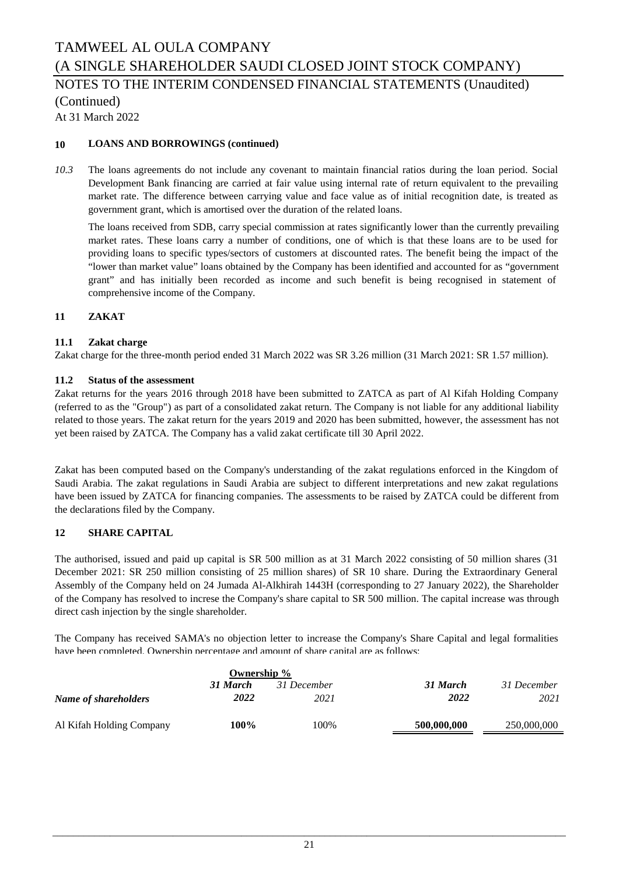# TAMWEEL AL OULA COMPANY (A SINGLE SHAREHOLDER SAUDI CLOSED JOINT STOCK COMPANY) NOTES TO THE INTERIM CONDENSED FINANCIAL STATEMENTS (Unaudited)

(Continued)

At 31 March 2022

#### **10 LOANS AND BORROWINGS (continued)**

*10.3* The loans agreements do not include any covenant to maintain financial ratios during the loan period. Social Development Bank financing are carried at fair value using internal rate of return equivalent to the prevailing market rate. The difference between carrying value and face value as of initial recognition date, is treated as government grant, which is amortised over the duration of the related loans.

The loans received from SDB, carry special commission at rates significantly lower than the currently prevailing market rates. These loans carry a number of conditions, one of which is that these loans are to be used for providing loans to specific types/sectors of customers at discounted rates. The benefit being the impact of the "lower than market value" loans obtained by the Company has been identified and accounted for as "government grant" and has initially been recorded as income and such benefit is being recognised in statement of comprehensive income of the Company.

#### **11 ZAKAT**

#### **11.1 Zakat charge**

Zakat charge for the three-month period ended 31 March 2022 was SR 3.26 million (31 March 2021: SR 1.57 million).

#### **11.2 Status of the assessment**

Zakat returns for the years 2016 through 2018 have been submitted to ZATCA as part of Al Kifah Holding Company (referred to as the "Group") as part of a consolidated zakat return. The Company is not liable for any additional liability related to those years. The zakat return for the years 2019 and 2020 has been submitted, however, the assessment has not yet been raised by ZATCA. The Company has a valid zakat certificate till 30 April 2022.

Zakat has been computed based on the Company's understanding of the zakat regulations enforced in the Kingdom of Saudi Arabia. The zakat regulations in Saudi Arabia are subject to different interpretations and new zakat regulations have been issued by ZATCA for financing companies. The assessments to be raised by ZATCA could be different from the declarations filed by the Company.

#### **12 SHARE CAPITAL**

The authorised, issued and paid up capital is SR 500 million as at 31 March 2022 consisting of 50 million shares (31 December 2021: SR 250 million consisting of 25 million shares) of SR 10 share. During the Extraordinary General Assembly of the Company held on 24 Jumada Al-Alkhirah 1443H (corresponding to 27 January 2022), the Shareholder of the Company has resolved to increse the Company's share capital to SR 500 million. The capital increase was through direct cash injection by the single shareholder.

The Company has received SAMA's no objection letter to increase the Company's Share Capital and legal formalities have been completed. Ownership percentage and amount of share capital are as follows:

|                          | Ownership % |             |             |             |
|--------------------------|-------------|-------------|-------------|-------------|
|                          | 31 March    | 31 December | 31 March    | 31 December |
| Name of shareholders     | 2022        | 2021        | 2022        | 2021        |
| Al Kifah Holding Company | 100%        | 100%        | 500,000,000 | 250,000,000 |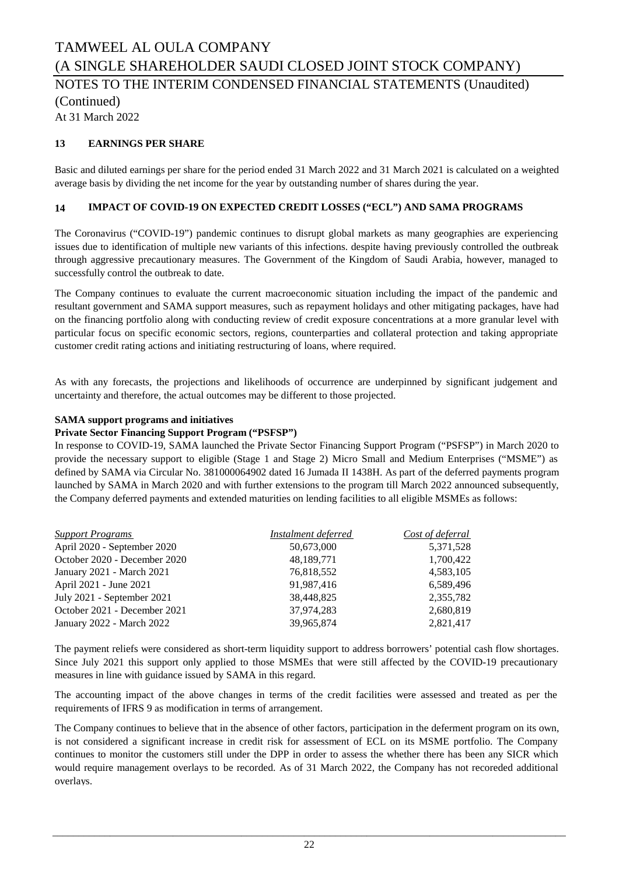# NOTES TO THE INTERIM CONDENSED FINANCIAL STATEMENTS (Unaudited)

(Continued)

At 31 March 2022

#### **13 EARNINGS PER SHARE**

Basic and diluted earnings per share for the period ended 31 March 2022 and 31 March 2021 is calculated on a weighted average basis by dividing the net income for the year by outstanding number of shares during the year.

#### **14 IMPACT OF COVID-19 ON EXPECTED CREDIT LOSSES ("ECL") AND SAMA PROGRAMS**

The Coronavirus ("COVID-19") pandemic continues to disrupt global markets as many geographies are experiencing issues due to identification of multiple new variants of this infections. despite having previously controlled the outbreak through aggressive precautionary measures. The Government of the Kingdom of Saudi Arabia, however, managed to successfully control the outbreak to date.

The Company continues to evaluate the current macroeconomic situation including the impact of the pandemic and resultant government and SAMA support measures, such as repayment holidays and other mitigating packages, have had on the financing portfolio along with conducting review of credit exposure concentrations at a more granular level with particular focus on specific economic sectors, regions, counterparties and collateral protection and taking appropriate customer credit rating actions and initiating restructuring of loans, where required.

As with any forecasts, the projections and likelihoods of occurrence are underpinned by significant judgement and uncertainty and therefore, the actual outcomes may be different to those projected.

#### **SAMA support programs and initiatives**

#### **Private Sector Financing Support Program ("PSFSP")**

In response to COVID-19, SAMA launched the Private Sector Financing Support Program ("PSFSP") in March 2020 to provide the necessary support to eligible (Stage 1 and Stage 2) Micro Small and Medium Enterprises ("MSME") as defined by SAMA via Circular No. 381000064902 dated 16 Jumada II 1438H. As part of the deferred payments program launched by SAMA in March 2020 and with further extensions to the program till March 2022 announced subsequently, the Company deferred payments and extended maturities on lending facilities to all eligible MSMEs as follows:

| <b>Support Programs</b>      | Instalment deferred | Cost of deferral |
|------------------------------|---------------------|------------------|
| April 2020 - September 2020  | 50,673,000          | 5,371,528        |
| October 2020 - December 2020 | 48,189,771          | 1,700,422        |
| January 2021 - March 2021    | 76,818,552          | 4,583,105        |
| April 2021 - June 2021       | 91,987,416          | 6,589,496        |
| July 2021 - September 2021   | 38,448,825          | 2,355,782        |
| October 2021 - December 2021 | 37.974.283          | 2,680,819        |
| January 2022 - March 2022    | 39.965.874          | 2,821,417        |

The payment reliefs were considered as short-term liquidity support to address borrowers' potential cash flow shortages. Since July 2021 this support only applied to those MSMEs that were still affected by the COVID-19 precautionary measures in line with guidance issued by SAMA in this regard.

The accounting impact of the above changes in terms of the credit facilities were assessed and treated as per the requirements of IFRS 9 as modification in terms of arrangement.

The Company continues to believe that in the absence of other factors, participation in the deferment program on its own, is not considered a significant increase in credit risk for assessment of ECL on its MSME portfolio. The Company continues to monitor the customers still under the DPP in order to assess the whether there has been any SICR which would require management overlays to be recorded. As of 31 March 2022, the Company has not recoreded additional overlays.